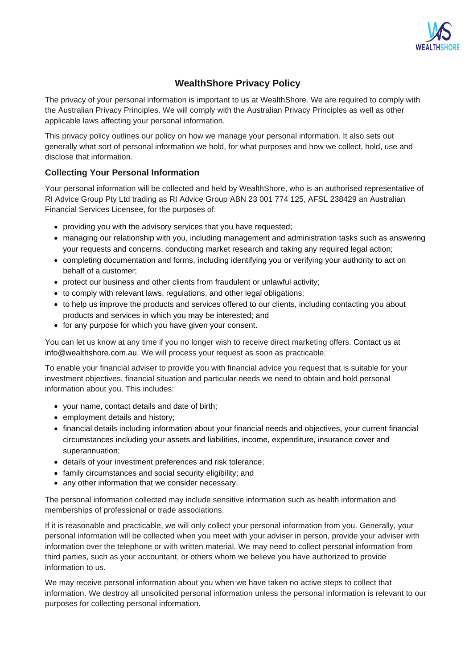

# **WealthShore Privacy Policy**

The privacy of your personal information is important to us at WealthShore. We are required to comply with the Australian Privacy Principles. We will comply with the Australian Privacy Principles as well as other applicable laws affecting your personal information.

This privacy policy outlines our policy on how we manage your personal information. It also sets out generally what sort of personal information we hold, for what purposes and how we collect, hold, use and disclose that information.

## **Collecting Your Personal Information**

Your personal information will be collected and held by WealthShore, who is an authorised representative of RI Advice Group Pty Ltd trading as RI Advice Group ABN 23 001 774 125, AFSL 238429 an Australian Financial Services Licensee, for the purposes of:

- providing you with the advisory services that you have requested;
- managing our relationship with you, including management and administration tasks such as answering your requests and concerns, conducting market research and taking any required legal action;
- completing documentation and forms, including identifying you or verifying your authority to act on behalf of a customer;
- protect our business and other clients from fraudulent or unlawful activity;
- to comply with relevant laws, regulations, and other legal obligations;
- to help us improve the products and services offered to our clients, including contacting you about products and services in which you may be interested; and
- for any purpose for which you have given your consent.

You can let us know at any time if you no longer wish to receive direct marketing offers. Contact us at info@wealthshore.com.au. We will process your request as soon as practicable.

To enable your financial adviser to provide you with financial advice you request that is suitable for your investment objectives, financial situation and particular needs we need to obtain and hold personal information about you. This includes:

- your name, contact details and date of birth;
- employment details and history:
- financial details including information about your financial needs and objectives, your current financial circumstances including your assets and liabilities, income, expenditure, insurance cover and superannuation;
- details of your investment preferences and risk tolerance;
- family circumstances and social security eligibility; and
- any other information that we consider necessary.

The personal information collected may include sensitive information such as health information and memberships of professional or trade associations.

If it is reasonable and practicable, we will only collect your personal information from you. Generally, your personal information will be collected when you meet with your adviser in person, provide your adviser with information over the telephone or with written material. We may need to collect personal information from third parties, such as your accountant, or others whom we believe you have authorized to provide information to us.

We may receive personal information about you when we have taken no active steps to collect that information. We destroy all unsolicited personal information unless the personal information is relevant to our purposes for collecting personal information.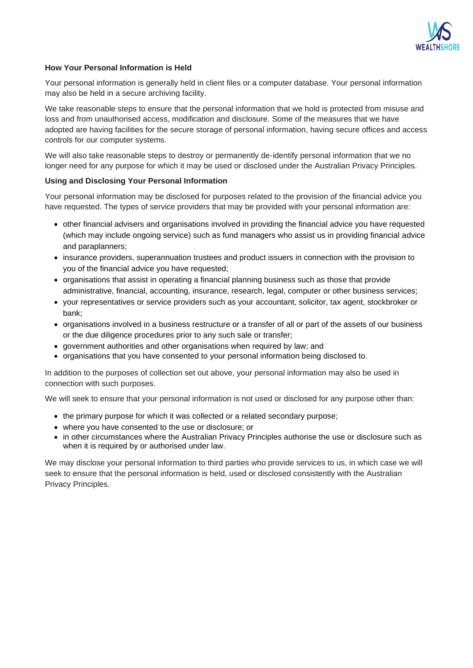

#### **How Your Personal Information is Held**

Your personal information is generally held in client files or a computer database. Your personal information may also be held in a secure archiving facility.

We take reasonable steps to ensure that the personal information that we hold is protected from misuse and loss and from unauthorised access, modification and disclosure. Some of the measures that we have adopted are having facilities for the secure storage of personal information, having secure offices and access controls for our computer systems.

We will also take reasonable steps to destroy or permanently de-identify personal information that we no longer need for any purpose for which it may be used or disclosed under the Australian Privacy Principles.

#### **Using and Disclosing Your Personal Information**

Your personal information may be disclosed for purposes related to the provision of the financial advice you have requested. The types of service providers that may be provided with your personal information are:

- other financial advisers and organisations involved in providing the financial advice you have requested (which may include ongoing service) such as fund managers who assist us in providing financial advice and paraplanners;
- insurance providers, superannuation trustees and product issuers in connection with the provision to you of the financial advice you have requested;
- organisations that assist in operating a financial planning business such as those that provide administrative, financial, accounting, insurance, research, legal, computer or other business services;
- your representatives or service providers such as your accountant, solicitor, tax agent, stockbroker or bank;
- organisations involved in a business restructure or a transfer of all or part of the assets of our business or the due diligence procedures prior to any such sale or transfer;
- government authorities and other organisations when required by law; and
- organisations that you have consented to your personal information being disclosed to.

In addition to the purposes of collection set out above, your personal information may also be used in connection with such purposes.

We will seek to ensure that your personal information is not used or disclosed for any purpose other than:

- the primary purpose for which it was collected or a related secondary purpose;
- where you have consented to the use or disclosure; or
- in other circumstances where the Australian Privacy Principles authorise the use or disclosure such as when it is required by or authorised under law.

We may disclose your personal information to third parties who provide services to us, in which case we will seek to ensure that the personal information is held, used or disclosed consistently with the Australian Privacy Principles.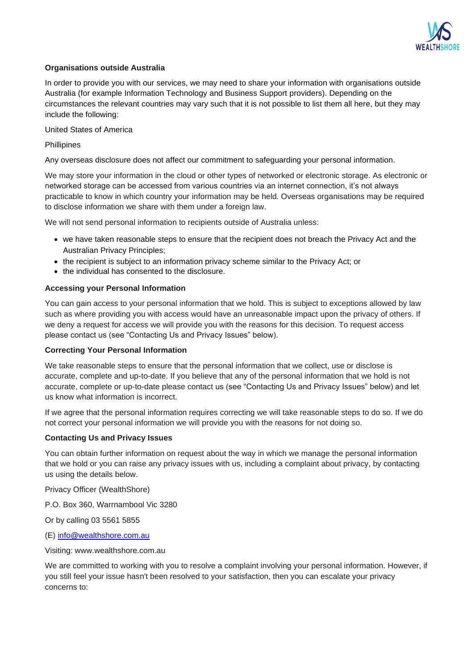

#### **Organisations outside Australia**

In order to provide you with our services, we may need to share your information with organisations outside Australia (for example Information Technology and Business Support providers). Depending on the circumstances the relevant countries may vary such that it is not possible to list them all here, but they may include the following:

United States of America

#### **Phillipines**

Any overseas disclosure does not affect our commitment to safeguarding your personal information.

We may store your information in the cloud or other types of networked or electronic storage. As electronic or networked storage can be accessed from various countries via an internet connection, it's not always practicable to know in which country your information may be held. Overseas organisations may be required to disclose information we share with them under a foreign law.

We will not send personal information to recipients outside of Australia unless:

- we have taken reasonable steps to ensure that the recipient does not breach the Privacy Act and the Australian Privacy Principles;
- the recipient is subject to an information privacy scheme similar to the Privacy Act; or
- the individual has consented to the disclosure.

#### **Accessing your Personal Information**

You can gain access to your personal information that we hold. This is subject to exceptions allowed by law such as where providing you with access would have an unreasonable impact upon the privacy of others. If we deny a request for access we will provide you with the reasons for this decision. To request access please contact us (see "Contacting Us and Privacy Issues" below).

#### **Correcting Your Personal Information**

We take reasonable steps to ensure that the personal information that we collect, use or disclose is accurate, complete and up-to-date. If you believe that any of the personal information that we hold is not accurate, complete or up-to-date please contact us (see "Contacting Us and Privacy Issues" below) and let us know what information is incorrect.

If we agree that the personal information requires correcting we will take reasonable steps to do so. If we do not correct your personal information we will provide you with the reasons for not doing so.

#### **Contacting Us and Privacy Issues**

You can obtain further information on request about the way in which we manage the personal information that we hold or you can raise any privacy issues with us, including a complaint about privacy, by contacting us using the details below.

Privacy Officer (WealthShore)

P.O. Box 360, Warrnambool Vic 3280

Or by calling 03 5561 5855

(E) [info@wealthshore.com.au](mailto:info@wealthshore.com.au)

Visiting: www.wealthshore.com.au

We are committed to working with you to resolve a complaint involving your personal information. However, if you still feel your issue hasn't been resolved to your satisfaction, then you can escalate your privacy concerns to: